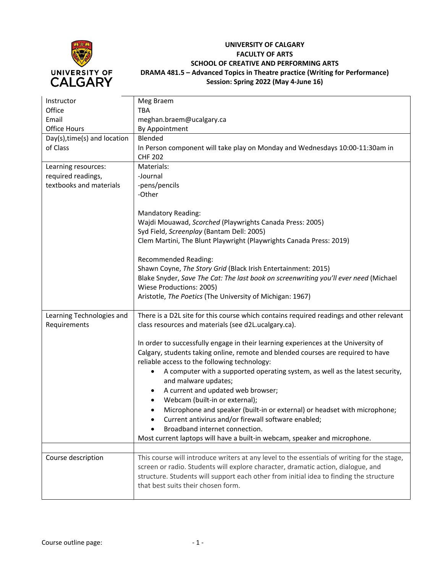

## **UNIVERSITY OF CALGARY FACULTY OF ARTS SCHOOL OF CREATIVE AND PERFORMING ARTS DRAMA 481.5 – Advanced Topics in Theatre practice (Writing for Performance) Session: Spring 2022 (May 4-June 16)**

| Instructor                   | Meg Braem                                                                                   |
|------------------------------|---------------------------------------------------------------------------------------------|
| Office                       | <b>TBA</b>                                                                                  |
| Email                        | meghan.braem@ucalgary.ca                                                                    |
| <b>Office Hours</b>          | By Appointment                                                                              |
|                              |                                                                                             |
| Day(s), time(s) and location | Blended                                                                                     |
| of Class                     | In Person component will take play on Monday and Wednesdays 10:00-11:30am in                |
|                              | <b>CHF 202</b>                                                                              |
| Learning resources:          | Materials:                                                                                  |
| required readings,           | -Journal                                                                                    |
| textbooks and materials      | -pens/pencils                                                                               |
|                              | -Other                                                                                      |
|                              |                                                                                             |
|                              | <b>Mandatory Reading:</b>                                                                   |
|                              | Wajdi Mouawad, Scorched (Playwrights Canada Press: 2005)                                    |
|                              | Syd Field, Screenplay (Bantam Dell: 2005)                                                   |
|                              | Clem Martini, The Blunt Playwright (Playwrights Canada Press: 2019)                         |
|                              |                                                                                             |
|                              | <b>Recommended Reading:</b>                                                                 |
|                              | Shawn Coyne, The Story Grid (Black Irish Entertainment: 2015)                               |
|                              | Blake Snyder, Save The Cat: The last book on screenwriting you'll ever need (Michael        |
|                              | Wiese Productions: 2005)                                                                    |
|                              | Aristotle, The Poetics (The University of Michigan: 1967)                                   |
|                              |                                                                                             |
| Learning Technologies and    | There is a D2L site for this course which contains required readings and other relevant     |
|                              |                                                                                             |
| Requirements                 | class resources and materials (see d2L.ucalgary.ca).                                        |
|                              |                                                                                             |
|                              | In order to successfully engage in their learning experiences at the University of          |
|                              | Calgary, students taking online, remote and blended courses are required to have            |
|                              | reliable access to the following technology:                                                |
|                              | A computer with a supported operating system, as well as the latest security,               |
|                              | and malware updates;                                                                        |
|                              | ٠                                                                                           |
|                              | A current and updated web browser;                                                          |
|                              | Webcam (built-in or external);                                                              |
|                              | Microphone and speaker (built-in or external) or headset with microphone;                   |
|                              | Current antivirus and/or firewall software enabled;                                         |
|                              | Broadband internet connection.                                                              |
|                              | Most current laptops will have a built-in webcam, speaker and microphone.                   |
|                              |                                                                                             |
| Course description           | This course will introduce writers at any level to the essentials of writing for the stage, |
|                              | screen or radio. Students will explore character, dramatic action, dialogue, and            |
|                              | structure. Students will support each other from initial idea to finding the structure      |
|                              | that best suits their chosen form.                                                          |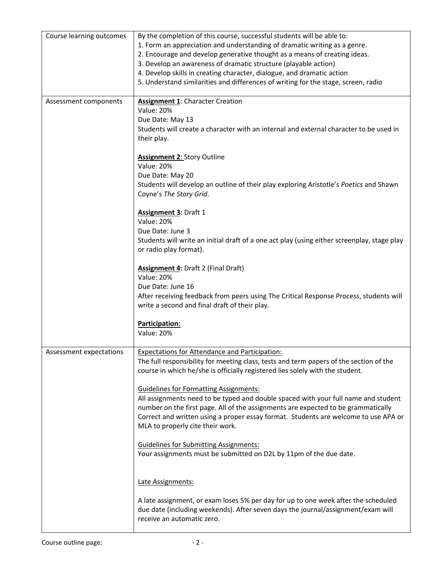| Course learning outcomes | By the completion of this course, successful students will be able to:<br>1. Form an appreciation and understanding of dramatic writing as a genre.<br>2. Encourage and develop generative thought as a means of creating ideas.<br>3. Develop an awareness of dramatic structure (playable action)<br>4. Develop skills in creating character, dialogue, and dramatic action<br>5. Understand similarities and differences of writing for the stage, screen, radio |
|--------------------------|---------------------------------------------------------------------------------------------------------------------------------------------------------------------------------------------------------------------------------------------------------------------------------------------------------------------------------------------------------------------------------------------------------------------------------------------------------------------|
| Assessment components    | <b>Assignment 1:</b> Character Creation<br><b>Value: 20%</b><br>Due Date: May 13<br>Students will create a character with an internal and external character to be used in<br>their play.                                                                                                                                                                                                                                                                           |
|                          | <b>Assignment 2: Story Outline</b><br><b>Value: 20%</b><br>Due Date: May 20<br>Students will develop an outline of their play exploring Aristotle's Poetics and Shawn<br>Coyne's The Story Grid.                                                                                                                                                                                                                                                                    |
|                          | <b>Assignment 3: Draft 1</b><br><b>Value: 20%</b><br>Due Date: June 3<br>Students will write an initial draft of a one act play (using either screenplay, stage play<br>or radio play format).                                                                                                                                                                                                                                                                      |
|                          | <b>Assignment 4: Draft 2 (Final Draft)</b><br><b>Value: 20%</b><br>Due Date: June 16<br>After receiving feedback from peers using The Critical Response Process, students will<br>write a second and final draft of their play.                                                                                                                                                                                                                                     |
|                          | Participation:<br><b>Value: 20%</b>                                                                                                                                                                                                                                                                                                                                                                                                                                 |
| Assessment expectations  | <b>Expectations for Attendance and Participation:</b><br>The full responsibility for meeting class, tests and term papers of the section of the<br>course in which he/she is officially registered lies solely with the student.                                                                                                                                                                                                                                    |
|                          | <b>Guidelines for Formatting Assignments:</b><br>All assignments need to be typed and double spaced with your full name and student<br>number on the first page. All of the assignments are expected to be grammatically<br>Correct and written using a proper essay format. Students are welcome to use APA or<br>MLA to properly cite their work.                                                                                                                 |
|                          | <b>Guidelines for Submitting Assignments:</b><br>Your assignments must be submitted on D2L by 11pm of the due date.                                                                                                                                                                                                                                                                                                                                                 |
|                          | Late Assignments:<br>A late assignment, or exam loses 5% per day for up to one week after the scheduled<br>due date (including weekends). After seven days the journal/assignment/exam will<br>receive an automatic zero.                                                                                                                                                                                                                                           |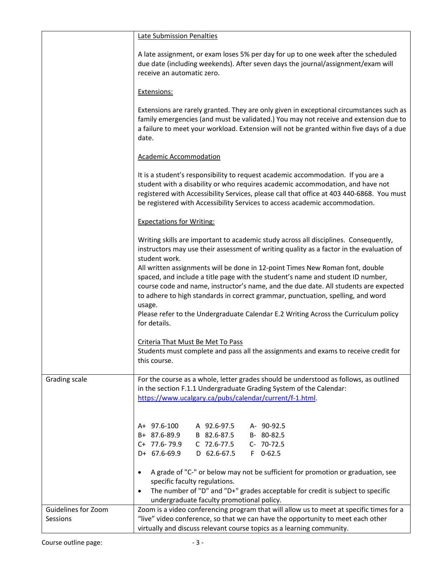|                                 | Late Submission Penalties                                                                                                                                                                                                                                                                                                                                                                                                                    |
|---------------------------------|----------------------------------------------------------------------------------------------------------------------------------------------------------------------------------------------------------------------------------------------------------------------------------------------------------------------------------------------------------------------------------------------------------------------------------------------|
|                                 | A late assignment, or exam loses 5% per day for up to one week after the scheduled<br>due date (including weekends). After seven days the journal/assignment/exam will<br>receive an automatic zero.                                                                                                                                                                                                                                         |
|                                 | Extensions:                                                                                                                                                                                                                                                                                                                                                                                                                                  |
|                                 | Extensions are rarely granted. They are only given in exceptional circumstances such as<br>family emergencies (and must be validated.) You may not receive and extension due to<br>a failure to meet your workload. Extension will not be granted within five days of a due<br>date.                                                                                                                                                         |
|                                 | <b>Academic Accommodation</b>                                                                                                                                                                                                                                                                                                                                                                                                                |
|                                 | It is a student's responsibility to request academic accommodation. If you are a<br>student with a disability or who requires academic accommodation, and have not<br>registered with Accessibility Services, please call that office at 403 440-6868. You must<br>be registered with Accessibility Services to access academic accommodation.                                                                                               |
|                                 | <b>Expectations for Writing:</b>                                                                                                                                                                                                                                                                                                                                                                                                             |
|                                 | Writing skills are important to academic study across all disciplines. Consequently,<br>instructors may use their assessment of writing quality as a factor in the evaluation of<br>student work.                                                                                                                                                                                                                                            |
|                                 | All written assignments will be done in 12-point Times New Roman font, double<br>spaced, and include a title page with the student's name and student ID number,<br>course code and name, instructor's name, and the due date. All students are expected<br>to adhere to high standards in correct grammar, punctuation, spelling, and word<br>usage.<br>Please refer to the Undergraduate Calendar E.2 Writing Across the Curriculum policy |
|                                 | for details.                                                                                                                                                                                                                                                                                                                                                                                                                                 |
|                                 | Criteria That Must Be Met To Pass<br>Students must complete and pass all the assignments and exams to receive credit for<br>this course.                                                                                                                                                                                                                                                                                                     |
| Grading scale                   | For the course as a whole, letter grades should be understood as follows, as outlined<br>in the section F.1.1 Undergraduate Grading System of the Calendar:<br>https://www.ucalgary.ca/pubs/calendar/current/f-1.html                                                                                                                                                                                                                        |
|                                 | A+ 97.6-100<br>A 92.6-97.5<br>A- 90-92.5<br>B+ 87.6-89.9<br>B 82.6-87.5<br>B-80-82.5<br>$C+ 77.6 - 79.9$<br>C 72.6-77.5<br>C- 70-72.5<br>D+ 67.6-69.9<br>D 62.6-67.5<br>$F$ 0-62.5                                                                                                                                                                                                                                                           |
|                                 | A grade of "C-" or below may not be sufficient for promotion or graduation, see<br>٠<br>specific faculty regulations.<br>The number of "D" and "D+" grades acceptable for credit is subject to specific<br>$\bullet$<br>undergraduate faculty promotional policy.                                                                                                                                                                            |
| Guidelines for Zoom<br>Sessions | Zoom is a video conferencing program that will allow us to meet at specific times for a<br>"live" video conference, so that we can have the opportunity to meet each other<br>virtually and discuss relevant course topics as a learning community.                                                                                                                                                                                          |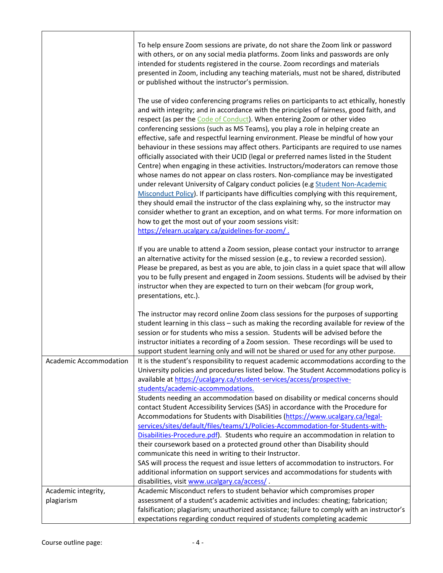|                                   | To help ensure Zoom sessions are private, do not share the Zoom link or password<br>with others, or on any social media platforms. Zoom links and passwords are only<br>intended for students registered in the course. Zoom recordings and materials<br>presented in Zoom, including any teaching materials, must not be shared, distributed<br>or published without the instructor's permission.                                                                                                                                                                                                                                                                                                                                                                                                                                                                                                                                                                                                                                                                                                                                                                                                                                                                    |
|-----------------------------------|-----------------------------------------------------------------------------------------------------------------------------------------------------------------------------------------------------------------------------------------------------------------------------------------------------------------------------------------------------------------------------------------------------------------------------------------------------------------------------------------------------------------------------------------------------------------------------------------------------------------------------------------------------------------------------------------------------------------------------------------------------------------------------------------------------------------------------------------------------------------------------------------------------------------------------------------------------------------------------------------------------------------------------------------------------------------------------------------------------------------------------------------------------------------------------------------------------------------------------------------------------------------------|
|                                   | The use of video conferencing programs relies on participants to act ethically, honestly<br>and with integrity; and in accordance with the principles of fairness, good faith, and<br>respect (as per the Code of Conduct). When entering Zoom or other video<br>conferencing sessions (such as MS Teams), you play a role in helping create an<br>effective, safe and respectful learning environment. Please be mindful of how your<br>behaviour in these sessions may affect others. Participants are required to use names<br>officially associated with their UCID (legal or preferred names listed in the Student<br>Centre) when engaging in these activities. Instructors/moderators can remove those<br>whose names do not appear on class rosters. Non-compliance may be investigated<br>under relevant University of Calgary conduct policies (e.g Student Non-Academic<br>Misconduct Policy). If participants have difficulties complying with this requirement,<br>they should email the instructor of the class explaining why, so the instructor may<br>consider whether to grant an exception, and on what terms. For more information on<br>how to get the most out of your zoom sessions visit:<br>https://elearn.ucalgary.ca/guidelines-for-zoom/. |
|                                   | If you are unable to attend a Zoom session, please contact your instructor to arrange<br>an alternative activity for the missed session (e.g., to review a recorded session).<br>Please be prepared, as best as you are able, to join class in a quiet space that will allow<br>you to be fully present and engaged in Zoom sessions. Students will be advised by their<br>instructor when they are expected to turn on their webcam (for group work,<br>presentations, etc.).                                                                                                                                                                                                                                                                                                                                                                                                                                                                                                                                                                                                                                                                                                                                                                                        |
|                                   | The instructor may record online Zoom class sessions for the purposes of supporting<br>student learning in this class - such as making the recording available for review of the<br>session or for students who miss a session. Students will be advised before the<br>instructor initiates a recording of a Zoom session. These recordings will be used to<br>support student learning only and will not be shared or used for any other purpose.                                                                                                                                                                                                                                                                                                                                                                                                                                                                                                                                                                                                                                                                                                                                                                                                                    |
| Academic Accommodation            | It is the student's responsibility to request academic accommodations according to the<br>University policies and procedures listed below. The Student Accommodations policy is<br>available at https://ucalgary.ca/student-services/access/prospective-<br>students/academic-accommodations.                                                                                                                                                                                                                                                                                                                                                                                                                                                                                                                                                                                                                                                                                                                                                                                                                                                                                                                                                                         |
|                                   | Students needing an accommodation based on disability or medical concerns should<br>contact Student Accessibility Services (SAS) in accordance with the Procedure for<br>Accommodations for Students with Disabilities (https://www.ucalgary.ca/legal-<br>services/sites/default/files/teams/1/Policies-Accommodation-for-Students-with-<br>Disabilities-Procedure.pdf). Students who require an accommodation in relation to<br>their coursework based on a protected ground other than Disability should<br>communicate this need in writing to their Instructor.                                                                                                                                                                                                                                                                                                                                                                                                                                                                                                                                                                                                                                                                                                   |
|                                   | SAS will process the request and issue letters of accommodation to instructors. For<br>additional information on support services and accommodations for students with<br>disabilities, visit www.ucalgary.ca/access/.                                                                                                                                                                                                                                                                                                                                                                                                                                                                                                                                                                                                                                                                                                                                                                                                                                                                                                                                                                                                                                                |
| Academic integrity,<br>plagiarism | Academic Misconduct refers to student behavior which compromises proper<br>assessment of a student's academic activities and includes: cheating; fabrication;<br>falsification; plagiarism; unauthorized assistance; failure to comply with an instructor's<br>expectations regarding conduct required of students completing academic                                                                                                                                                                                                                                                                                                                                                                                                                                                                                                                                                                                                                                                                                                                                                                                                                                                                                                                                |

h